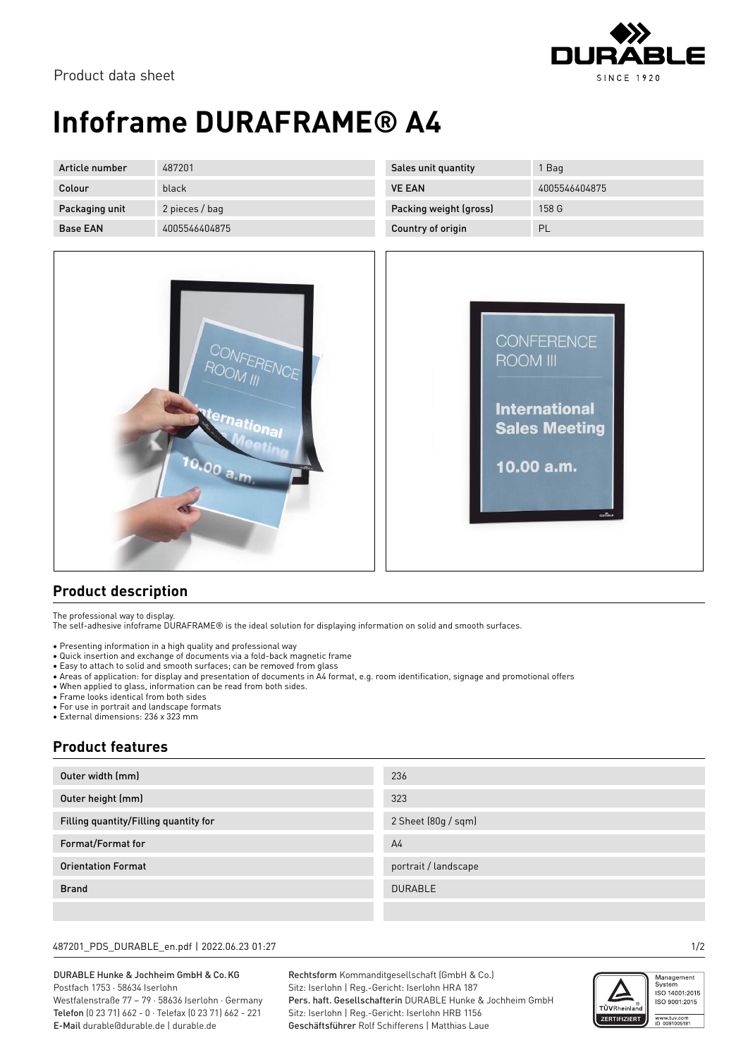

# **Infoframe DURAFRAME® A4**

| Article number  | 487201         | Sales unit quantity    | 1 Bag         |
|-----------------|----------------|------------------------|---------------|
| Colour          | black          | <b>VE EAN</b>          | 4005546404875 |
| Packaging unit  | 2 pieces / bag | Packing weight (gross) | 158 G         |
| <b>Base EAN</b> | 4005546404875  | Country of origin      | PL            |





### **Product description**

The professional way to display.

The self-adhesive infoframe DURAFRAME® is the ideal solution for displaying information on solid and smooth surfaces.

- Presenting information in a high quality and professional way
- Quick insertion and exchange of documents via a fold-back magnetic frame
- Easy to attach to solid and smooth surfaces; can be removed from glass
- Areas of application: for display and presentation of documents in A4 format, e.g. room identification, signage and promotional offers
- When applied to glass, information can be read from both sides.
- Frame looks identical from both sides
- For use in portrait and landscape formats
- External dimensions: 236 x 323 mm

### **Product features**

| Outer width (mm)                      | 236                  |
|---------------------------------------|----------------------|
| Outer height (mm)                     | 323                  |
| Filling quantity/Filling quantity for | 2 Sheet (80g / sqm)  |
| Format/Format for                     | A <sub>4</sub>       |
| <b>Orientation Format</b>             | portrait / landscape |
| <b>Brand</b>                          | <b>DURABLE</b>       |
|                                       |                      |

#### 487201\_PDS\_DURABLE\_en.pdf | 2022.06.23 01:27 1/2

DURABLE Hunke & Jochheim GmbH & Co.KG Postfach 1753 · 58634 Iserlohn Westfalenstraße 77 – 79 · 58636 Iserlohn · Germany Telefon (0 23 71) 662 - 0 · Telefax (0 23 71) 662 - 221 E-Mail durable@durable.de | durable.de

Rechtsform Kommanditgesellschaft (GmbH & Co.) Sitz: Iserlohn | Reg.-Gericht: Iserlohn HRA 187 Pers. haft. Gesellschafterin DURABLE Hunke & Jochheim GmbH Sitz: Iserlohn | Reg.-Gericht: Iserlohn HRB 1156 Geschäftsführer Rolf Schifferens | Matthias Laue